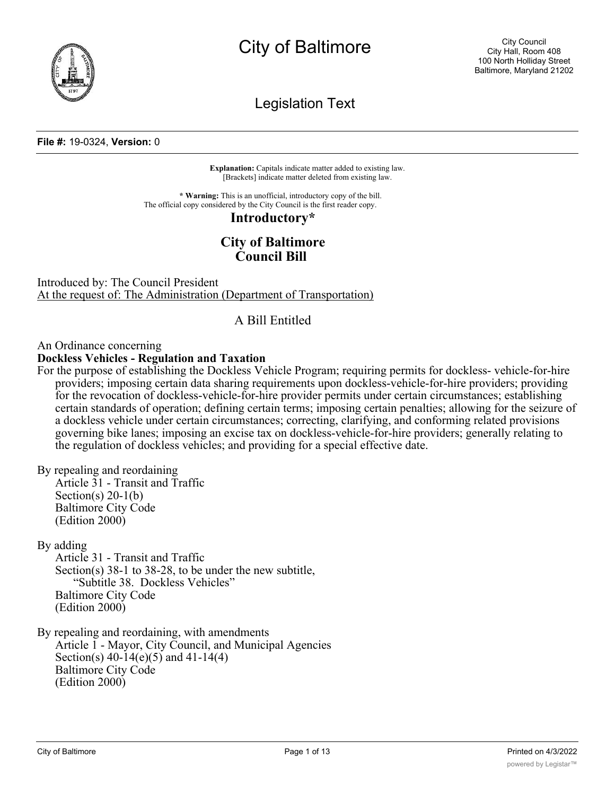

# City of Baltimore

Legislation Text

#### **File #:** 19-0324, **Version:** 0

**Explanation:** Capitals indicate matter added to existing law. [Brackets] indicate matter deleted from existing law.

**\* Warning:** This is an unofficial, introductory copy of the bill. The official copy considered by the City Council is the first reader copy.

#### **Introductory\***

# **City of Baltimore Council Bill**

Introduced by: The Council President At the request of: The Administration (Department of Transportation)

# A Bill Entitled

An Ordinance concerning

# **Dockless Vehicles - Regulation and Taxation**

For the purpose of establishing the Dockless Vehicle Program; requiring permits for dockless- vehicle-for-hire providers; imposing certain data sharing requirements upon dockless-vehicle-for-hire providers; providing for the revocation of dockless-vehicle-for-hire provider permits under certain circumstances; establishing certain standards of operation; defining certain terms; imposing certain penalties; allowing for the seizure of a dockless vehicle under certain circumstances; correcting, clarifying, and conforming related provisions governing bike lanes; imposing an excise tax on dockless-vehicle-for-hire providers; generally relating to the regulation of dockless vehicles; and providing for a special effective date.

By repealing and reordaining

Article 31 - Transit and Traffic Section(s)  $20-1(b)$ Baltimore City Code (Edition 2000)

By adding

Article 31 - Transit and Traffic Section(s) 38-1 to 38-28, to be under the new subtitle, "Subtitle 38. Dockless Vehicles" Baltimore City Code (Edition 2000)

By repealing and reordaining, with amendments Article 1 - Mayor, City Council, and Municipal Agencies Section(s) 40-14(e)(5) and 41-14(4) Baltimore City Code (Edition 2000)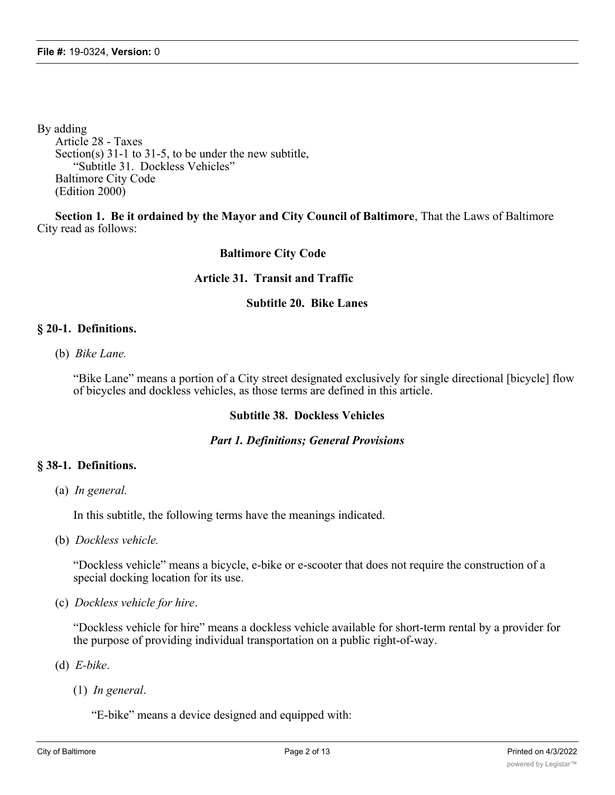By adding Article 28 - Taxes Section(s) 31-1 to 31-5, to be under the new subtitle, "Subtitle 31. Dockless Vehicles" Baltimore City Code (Edition 2000)

**Section 1. Be it ordained by the Mayor and City Council of Baltimore**, That the Laws of Baltimore City read as follows:

# **Baltimore City Code**

# **Article 31. Transit and Traffic**

# **Subtitle 20. Bike Lanes**

# **§ 20-1. Definitions.**

(b) *Bike Lane.*

"Bike Lane" means a portion of a City street designated exclusively for single directional [bicycle] flow of bicycles and dockless vehicles, as those terms are defined in this article.

# **Subtitle 38. Dockless Vehicles**

# *Part 1. Definitions; General Provisions*

# **§ 38-1. Definitions.**

(a) *In general.*

In this subtitle, the following terms have the meanings indicated.

(b) *Dockless vehicle.*

"Dockless vehicle" means a bicycle, e-bike or e-scooter that does not require the construction of a special docking location for its use.

(c) *Dockless vehicle for hire*.

"Dockless vehicle for hire" means a dockless vehicle available for short-term rental by a provider for the purpose of providing individual transportation on a public right-of-way.

- (d) *E-bike*.
	- (1) *In general*.

"E-bike" means a device designed and equipped with: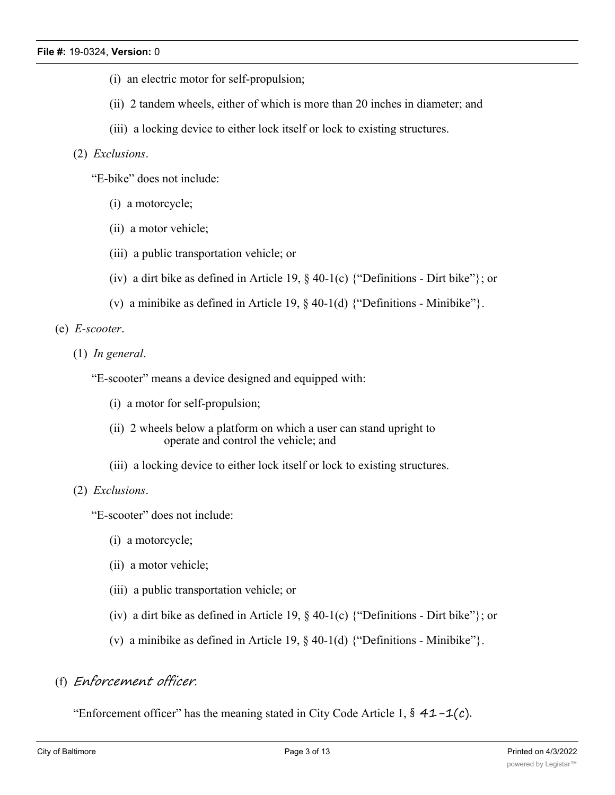- (i) an electric motor for self-propulsion;
- (ii) 2 tandem wheels, either of which is more than 20 inches in diameter; and
- (iii) a locking device to either lock itself or lock to existing structures.

# (2) *Exclusions*.

"E-bike" does not include:

- (i) a motorcycle;
- (ii) a motor vehicle;
- (iii) a public transportation vehicle; or
- (iv) a dirt bike as defined in Article 19,  $\S$  40-1(c) {"Definitions Dirt bike"}; or
- (v) a minibike as defined in Article 19, § 40-1(d) {"Definitions Minibike"}.

(e) *E-scooter*.

(1) *In general*.

"E-scooter" means a device designed and equipped with:

- (i) a motor for self-propulsion;
- (ii) 2 wheels below a platform on which a user can stand upright to operate and control the vehicle; and
- (iii) a locking device to either lock itself or lock to existing structures.

# (2) *Exclusions*.

"E-scooter" does not include:

- (i) a motorcycle;
- (ii) a motor vehicle;
- (iii) a public transportation vehicle; or
- (iv) a dirt bike as defined in Article 19, § 40-1(c) {"Definitions Dirt bike"}; or
- (v) a minibike as defined in Article 19, § 40-1(d) {"Definitions Minibike"}.

# (f) *Enforcement officer*.

"Enforcement officer" has the meaning stated in City Code Article 1,  $\frac{2}{3}$  41 -1(c).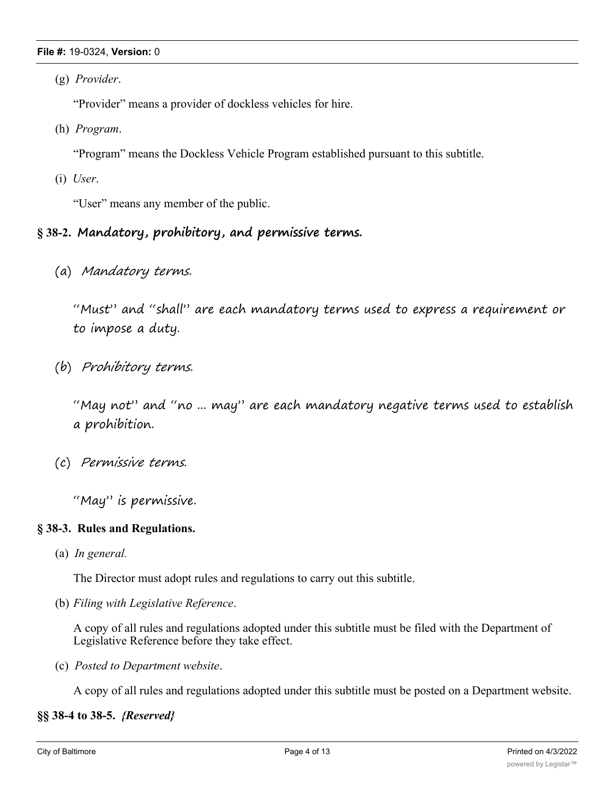#### **File #:** 19-0324, **Version:** 0

(g) *Provider*.

"Provider" means a provider of dockless vehicles for hire.

(h) *Program*.

"Program" means the Dockless Vehicle Program established pursuant to this subtitle.

(i) *User*.

"User" means any member of the public.

# **§ 38-2. Mandatory, prohibitory, and permissive terms.**

(a) *Mandatory terms.*

"Must" and "shall" are each mandatory terms used to express a requirement or to impose a duty.

(b) *Prohibitory terms.*

"May not" and "no ... may" are each mandatory negative terms used to establish a prohibition.

(c) *Permissive terms.*

"May" is permissive.

# **§ 38-3. Rules and Regulations.**

(a) *In general.*

The Director must adopt rules and regulations to carry out this subtitle.

(b) *Filing with Legislative Reference*.

A copy of all rules and regulations adopted under this subtitle must be filed with the Department of Legislative Reference before they take effect.

(c) *Posted to Department website*.

A copy of all rules and regulations adopted under this subtitle must be posted on a Department website.

# **§§ 38-4 to 38-5.** *{Reserved}*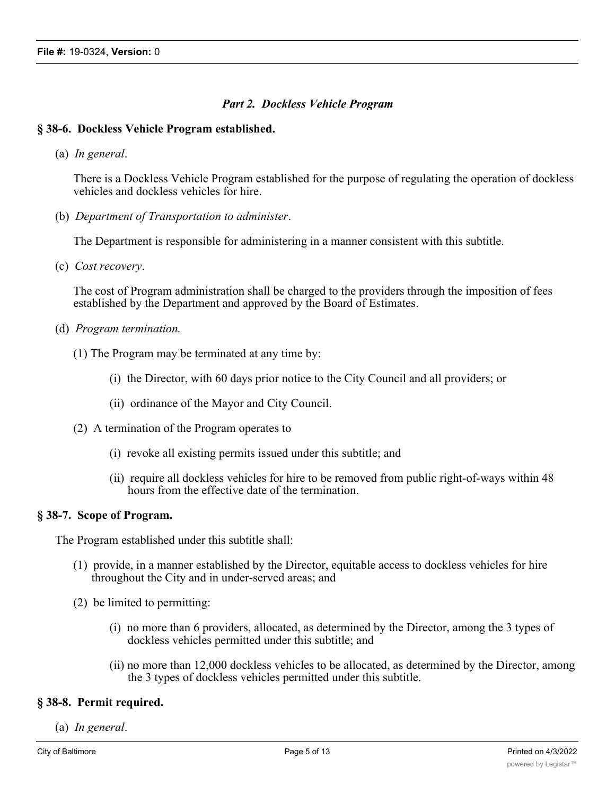# *Part 2. Dockless Vehicle Program*

# **§ 38-6. Dockless Vehicle Program established.**

(a) *In general*.

There is a Dockless Vehicle Program established for the purpose of regulating the operation of dockless vehicles and dockless vehicles for hire.

(b) *Department of Transportation to administer*.

The Department is responsible for administering in a manner consistent with this subtitle.

(c) *Cost recovery*.

The cost of Program administration shall be charged to the providers through the imposition of fees established by the Department and approved by the Board of Estimates.

- (d) *Program termination.*
	- (1) The Program may be terminated at any time by:
		- (i) the Director, with 60 days prior notice to the City Council and all providers; or
		- (ii) ordinance of the Mayor and City Council.
	- (2) A termination of the Program operates to
		- (i) revoke all existing permits issued under this subtitle; and
		- (ii) require all dockless vehicles for hire to be removed from public right-of-ways within 48 hours from the effective date of the termination.

# **§ 38-7. Scope of Program.**

The Program established under this subtitle shall:

- (1) provide, in a manner established by the Director, equitable access to dockless vehicles for hire throughout the City and in under-served areas; and
- (2) be limited to permitting:
	- (i) no more than 6 providers, allocated, as determined by the Director, among the 3 types of dockless vehicles permitted under this subtitle; and
	- (ii) no more than 12,000 dockless vehicles to be allocated, as determined by the Director, among the 3 types of dockless vehicles permitted under this subtitle.

# **§ 38-8. Permit required.**

(a) *In general*.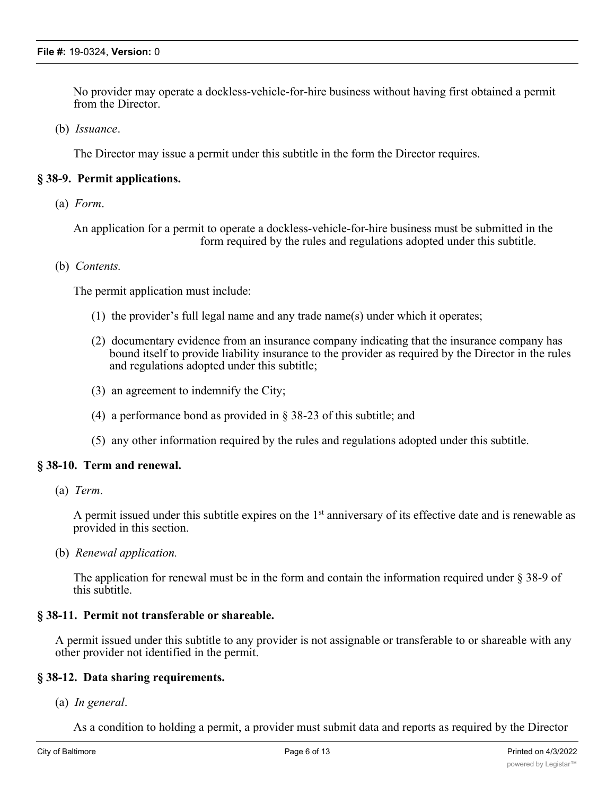No provider may operate a dockless-vehicle-for-hire business without having first obtained a permit from the Director.

(b) *Issuance*.

The Director may issue a permit under this subtitle in the form the Director requires.

# **§ 38-9. Permit applications.**

(a) *Form*.

An application for a permit to operate a dockless-vehicle-for-hire business must be submitted in the form required by the rules and regulations adopted under this subtitle.

# (b) *Contents.*

The permit application must include:

- (1) the provider's full legal name and any trade name(s) under which it operates;
- (2) documentary evidence from an insurance company indicating that the insurance company has bound itself to provide liability insurance to the provider as required by the Director in the rules and regulations adopted under this subtitle;
- (3) an agreement to indemnify the City;
- (4) a performance bond as provided in § 38-23 of this subtitle; and
- (5) any other information required by the rules and regulations adopted under this subtitle.

# **§ 38-10. Term and renewal.**

(a) *Term*.

A permit issued under this subtitle expires on the  $1<sup>st</sup>$  anniversary of its effective date and is renewable as provided in this section.

(b) *Renewal application.*

The application for renewal must be in the form and contain the information required under § 38-9 of this subtitle.

# **§ 38-11. Permit not transferable or shareable.**

A permit issued under this subtitle to any provider is not assignable or transferable to or shareable with any other provider not identified in the permit.

#### **§ 38-12. Data sharing requirements.**

(a) *In general*.

As a condition to holding a permit, a provider must submit data and reports as required by the Director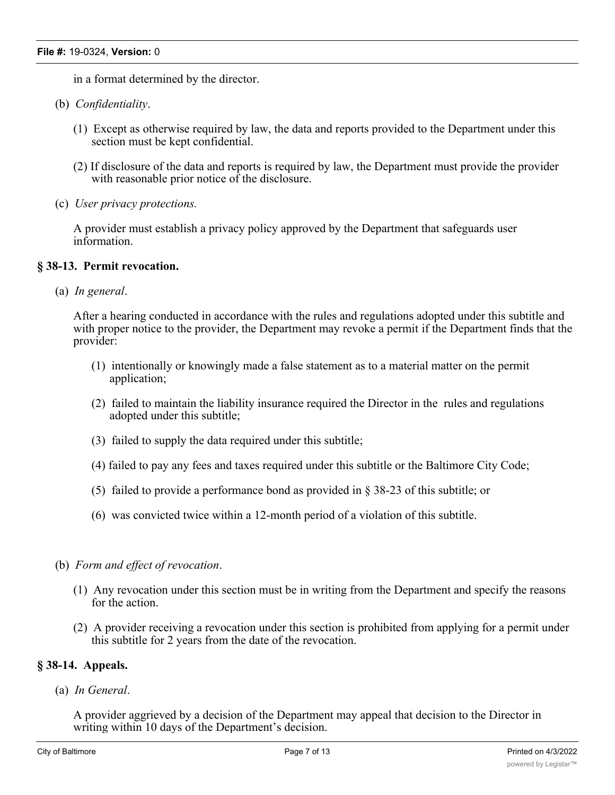in a format determined by the director.

- (b) *Confidentiality*.
	- (1) Except as otherwise required by law, the data and reports provided to the Department under this section must be kept confidential.
	- (2) If disclosure of the data and reports is required by law, the Department must provide the provider with reasonable prior notice of the disclosure.
- (c) *User privacy protections.*

A provider must establish a privacy policy approved by the Department that safeguards user information.

# **§ 38-13. Permit revocation.**

(a) *In general*.

After a hearing conducted in accordance with the rules and regulations adopted under this subtitle and with proper notice to the provider, the Department may revoke a permit if the Department finds that the provider:

- (1) intentionally or knowingly made a false statement as to a material matter on the permit application;
- (2) failed to maintain the liability insurance required the Director in the rules and regulations adopted under this subtitle;
- (3) failed to supply the data required under this subtitle;
- (4) failed to pay any fees and taxes required under this subtitle or the Baltimore City Code;
- (5) failed to provide a performance bond as provided in § 38-23 of this subtitle; or
- (6) was convicted twice within a 12-month period of a violation of this subtitle.
- (b) *Form and effect of revocation*.
	- (1) Any revocation under this section must be in writing from the Department and specify the reasons for the action.
	- (2) A provider receiving a revocation under this section is prohibited from applying for a permit under this subtitle for 2 years from the date of the revocation.

# **§ 38-14. Appeals.**

(a) *In General*.

A provider aggrieved by a decision of the Department may appeal that decision to the Director in writing within 10 days of the Department's decision.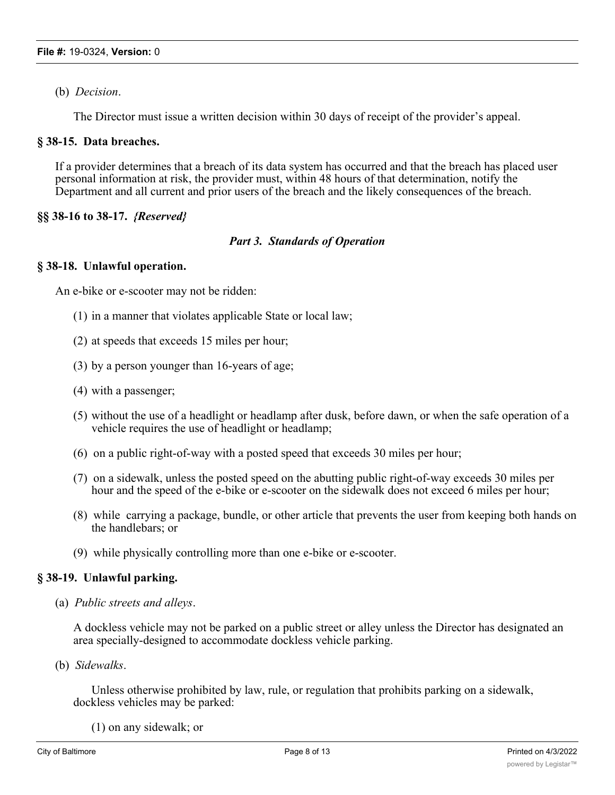(b) *Decision*.

The Director must issue a written decision within 30 days of receipt of the provider's appeal.

# **§ 38-15. Data breaches.**

If a provider determines that a breach of its data system has occurred and that the breach has placed user personal information at risk, the provider must, within 48 hours of that determination, notify the Department and all current and prior users of the breach and the likely consequences of the breach.

# **§§ 38-16 to 38-17.** *{Reserved}*

# *Part 3. Standards of Operation*

# **§ 38-18. Unlawful operation.**

An e-bike or e-scooter may not be ridden:

- (1) in a manner that violates applicable State or local law;
- (2) at speeds that exceeds 15 miles per hour;
- (3) by a person younger than 16-years of age;
- (4) with a passenger;
- (5) without the use of a headlight or headlamp after dusk, before dawn, or when the safe operation of a vehicle requires the use of headlight or headlamp;
- (6) on a public right-of-way with a posted speed that exceeds 30 miles per hour;
- (7) on a sidewalk, unless the posted speed on the abutting public right-of-way exceeds 30 miles per hour and the speed of the e-bike or e-scooter on the sidewalk does not exceed 6 miles per hour;
- (8) while carrying a package, bundle, or other article that prevents the user from keeping both hands on the handlebars; or
- (9) while physically controlling more than one e-bike or e-scooter.

# **§ 38-19. Unlawful parking.**

(a) *Public streets and alleys*.

A dockless vehicle may not be parked on a public street or alley unless the Director has designated an area specially-designed to accommodate dockless vehicle parking.

(b) *Sidewalks*.

Unless otherwise prohibited by law, rule, or regulation that prohibits parking on a sidewalk, dockless vehicles may be parked:

(1) on any sidewalk; or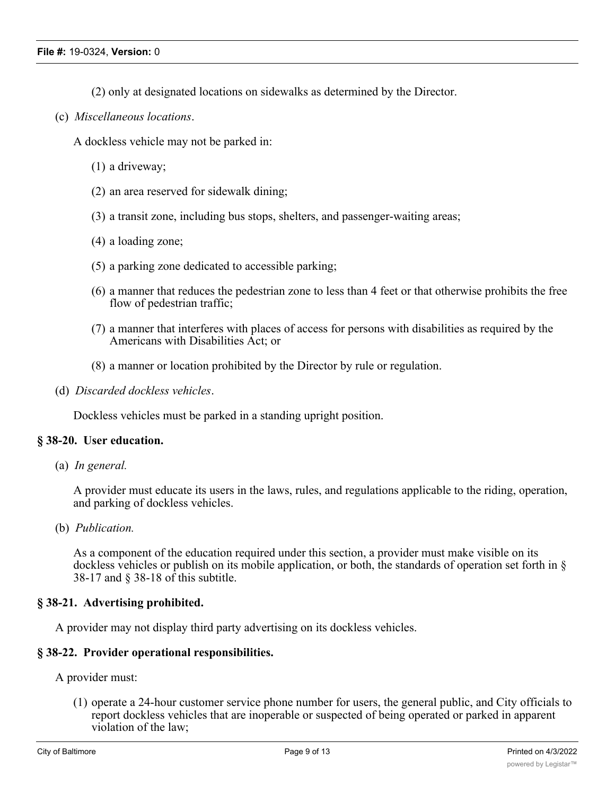- (2) only at designated locations on sidewalks as determined by the Director.
- (c) *Miscellaneous locations*.

A dockless vehicle may not be parked in:

- (1) a driveway;
- (2) an area reserved for sidewalk dining;
- (3) a transit zone, including bus stops, shelters, and passenger-waiting areas;
- (4) a loading zone;
- (5) a parking zone dedicated to accessible parking;
- (6) a manner that reduces the pedestrian zone to less than 4 feet or that otherwise prohibits the free flow of pedestrian traffic;
- (7) a manner that interferes with places of access for persons with disabilities as required by the Americans with Disabilities Act; or
- (8) a manner or location prohibited by the Director by rule or regulation.
- (d) *Discarded dockless vehicles*.

Dockless vehicles must be parked in a standing upright position.

# **§ 38-20. User education.**

(a) *In general.*

A provider must educate its users in the laws, rules, and regulations applicable to the riding, operation, and parking of dockless vehicles.

(b) *Publication.*

As a component of the education required under this section, a provider must make visible on its dockless vehicles or publish on its mobile application, or both, the standards of operation set forth in § 38-17 and § 38-18 of this subtitle.

# **§ 38-21. Advertising prohibited.**

A provider may not display third party advertising on its dockless vehicles.

# **§ 38-22. Provider operational responsibilities.**

A provider must:

(1) operate a 24-hour customer service phone number for users, the general public, and City officials to report dockless vehicles that are inoperable or suspected of being operated or parked in apparent violation of the law;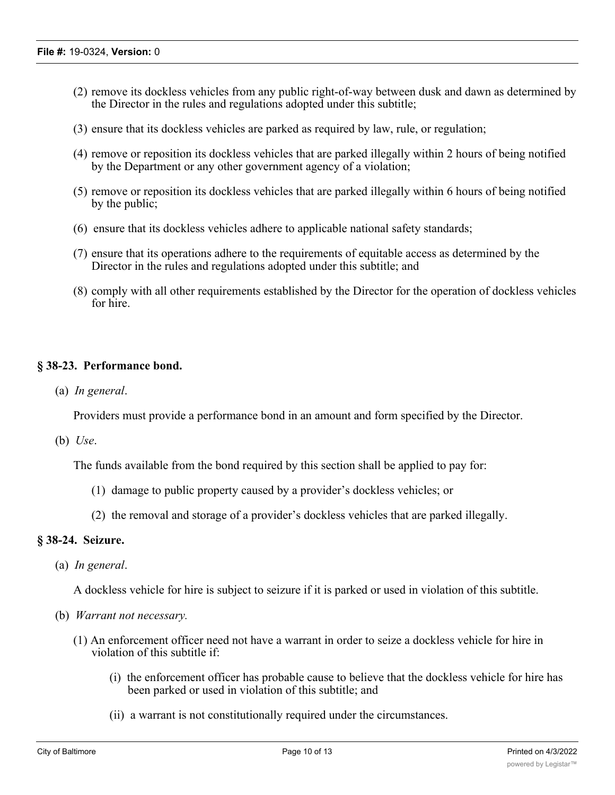- (2) remove its dockless vehicles from any public right-of-way between dusk and dawn as determined by the Director in the rules and regulations adopted under this subtitle;
- (3) ensure that its dockless vehicles are parked as required by law, rule, or regulation;
- (4) remove or reposition its dockless vehicles that are parked illegally within 2 hours of being notified by the Department or any other government agency of a violation;
- (5) remove or reposition its dockless vehicles that are parked illegally within 6 hours of being notified by the public;
- (6) ensure that its dockless vehicles adhere to applicable national safety standards;
- (7) ensure that its operations adhere to the requirements of equitable access as determined by the Director in the rules and regulations adopted under this subtitle; and
- (8) comply with all other requirements established by the Director for the operation of dockless vehicles for hire.

# **§ 38-23. Performance bond.**

(a) *In general*.

Providers must provide a performance bond in an amount and form specified by the Director.

(b) *Use*.

The funds available from the bond required by this section shall be applied to pay for:

- (1) damage to public property caused by a provider's dockless vehicles; or
- (2) the removal and storage of a provider's dockless vehicles that are parked illegally.

# **§ 38-24. Seizure.**

(a) *In general*.

A dockless vehicle for hire is subject to seizure if it is parked or used in violation of this subtitle.

- (b) *Warrant not necessary.*
	- (1) An enforcement officer need not have a warrant in order to seize a dockless vehicle for hire in violation of this subtitle if:
		- (i) the enforcement officer has probable cause to believe that the dockless vehicle for hire has been parked or used in violation of this subtitle; and
		- (ii) a warrant is not constitutionally required under the circumstances.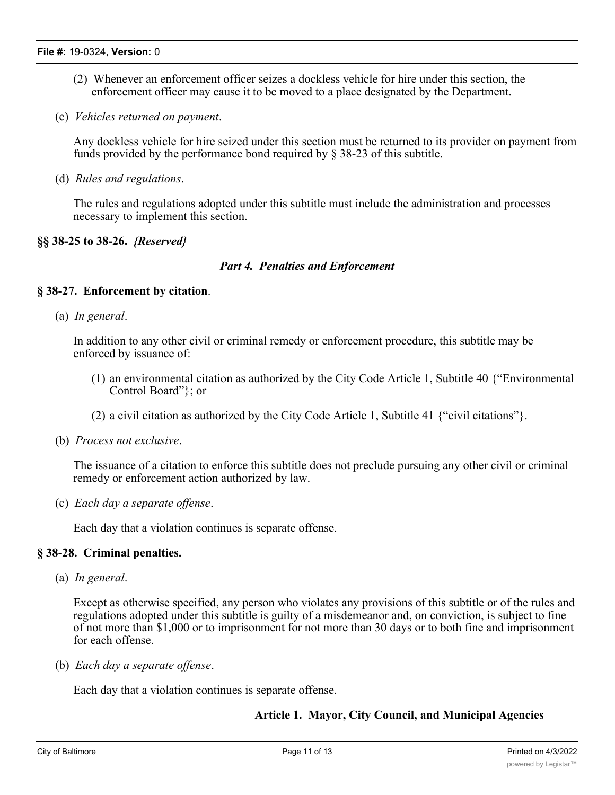- (2) Whenever an enforcement officer seizes a dockless vehicle for hire under this section, the enforcement officer may cause it to be moved to a place designated by the Department.
- (c) *Vehicles returned on payment*.

Any dockless vehicle for hire seized under this section must be returned to its provider on payment from funds provided by the performance bond required by § 38-23 of this subtitle.

(d) *Rules and regulations*.

The rules and regulations adopted under this subtitle must include the administration and processes necessary to implement this section.

# **§§ 38-25 to 38-26.** *{Reserved}*

# *Part 4. Penalties and Enforcement*

# **§ 38-27. Enforcement by citation**.

(a) *In general*.

In addition to any other civil or criminal remedy or enforcement procedure, this subtitle may be enforced by issuance of:

- (1) an environmental citation as authorized by the City Code Article 1, Subtitle 40 {"Environmental Control Board"}; or
- (2) a civil citation as authorized by the City Code Article 1, Subtitle 41 {"civil citations"}.
- (b) *Process not exclusive*.

The issuance of a citation to enforce this subtitle does not preclude pursuing any other civil or criminal remedy or enforcement action authorized by law.

(c) *Each day a separate offense*.

Each day that a violation continues is separate offense.

# **§ 38-28. Criminal penalties.**

(a) *In general*.

Except as otherwise specified, any person who violates any provisions of this subtitle or of the rules and regulations adopted under this subtitle is guilty of a misdemeanor and, on conviction, is subject to fine of not more than \$1,000 or to imprisonment for not more than 30 days or to both fine and imprisonment for each offense.

(b) *Each day a separate offense*.

Each day that a violation continues is separate offense.

# **Article 1. Mayor, City Council, and Municipal Agencies**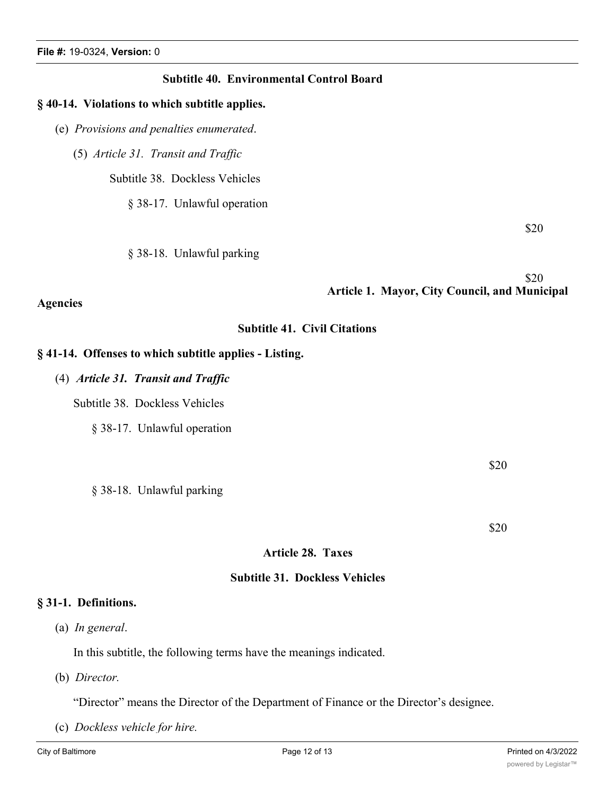# **Subtitle 40. Environmental Control Board**

#### **§ 40-14. Violations to which subtitle applies.**

- (e) *Provisions and penalties enumerated*.
	- (5) *Article 31. Transit and Traffic*

Subtitle 38. Dockless Vehicles

§ 38-17. Unlawful operation

§ 38-18. Unlawful parking

 \$20 **Article 1. Mayor, City Council, and Municipal**

# **Subtitle 41. Civil Citations**

# **§ 41-14. Offenses to which subtitle applies - Listing.**

(4) *Article 31. Transit and Traffic*

Subtitle 38. Dockless Vehicles

§ 38-17. Unlawful operation

§ 38-18. Unlawful parking

\$20

\$20

\$20

# **Article 28. Taxes**

# **Subtitle 31. Dockless Vehicles**

# **§ 31-1. Definitions.**

**Agencies**

(a) *In general*.

In this subtitle, the following terms have the meanings indicated.

(b) *Director.*

"Director" means the Director of the Department of Finance or the Director's designee.

(c) *Dockless vehicle for hire.*